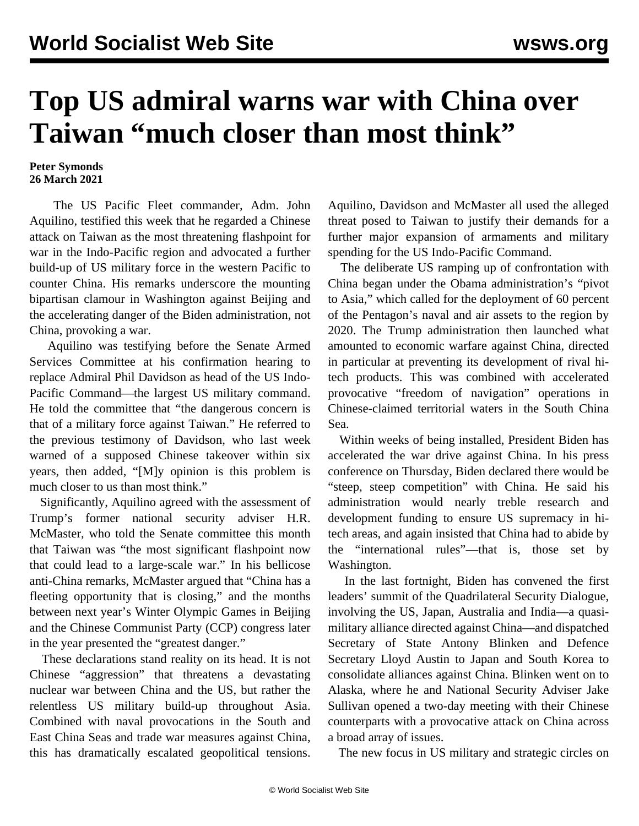## **Top US admiral warns war with China over Taiwan "much closer than most think"**

## **Peter Symonds 26 March 2021**

 The US Pacific Fleet commander, Adm. John Aquilino, testified this week that he regarded a Chinese attack on Taiwan as the most threatening flashpoint for war in the Indo-Pacific region and advocated a further build-up of US military force in the western Pacific to counter China. His remarks underscore the mounting bipartisan clamour in Washington against Beijing and the accelerating danger of the Biden administration, not China, provoking a war.

 Aquilino was testifying before the Senate Armed Services Committee at his confirmation hearing to replace Admiral Phil Davidson as head of the US Indo-Pacific Command—the largest US military command. He told the committee that "the dangerous concern is that of a military force against Taiwan." He referred to the previous testimony of Davidson, who last week warned of a supposed Chinese takeover within six years, then added, "[M]y opinion is this problem is much closer to us than most think."

 Significantly, Aquilino agreed with the assessment of Trump's former national security adviser H.R. McMaster, who told the Senate committee this month that Taiwan was "the most significant flashpoint now that could lead to a large-scale war." In his bellicose anti-China remarks, McMaster argued that "China has a fleeting opportunity that is closing," and the months between next year's Winter Olympic Games in Beijing and the Chinese Communist Party (CCP) congress later in the year presented the "greatest danger."

 These declarations stand reality on its head. It is not Chinese "aggression" that threatens a devastating nuclear war between China and the US, but rather the relentless US military build-up throughout Asia. Combined with naval provocations in the South and East China Seas and trade war measures against China, this has dramatically escalated geopolitical tensions.

Aquilino, Davidson and McMaster all used the alleged threat posed to Taiwan to justify their demands for a further major expansion of armaments and military spending for the US Indo-Pacific Command.

 The deliberate US ramping up of confrontation with China began under the Obama administration's "pivot to Asia," which called for the deployment of 60 percent of the Pentagon's naval and air assets to the region by 2020. The Trump administration then launched what amounted to economic warfare against China, directed in particular at preventing its development of rival hitech products. This was combined with accelerated provocative "freedom of navigation" operations in Chinese-claimed territorial waters in the South China Sea.

 Within weeks of being installed, President Biden has accelerated the war drive against China. In his press conference on Thursday, Biden declared there would be "steep, steep competition" with China. He said his administration would nearly treble research and development funding to ensure US supremacy in hitech areas, and again insisted that China had to abide by the "international rules"—that is, those set by Washington.

 In the last fortnight, Biden has convened the first leaders' summit of the Quadrilateral Security Dialogue, involving the US, Japan, Australia and India—a quasimilitary alliance directed against China—and dispatched Secretary of State Antony Blinken and Defence Secretary Lloyd Austin to Japan and South Korea to consolidate alliances against China. Blinken went on to Alaska, where he and National Security Adviser Jake Sullivan opened a two-day meeting with their Chinese counterparts with a provocative attack on China across a broad array of issues.

The new focus in US military and strategic circles on